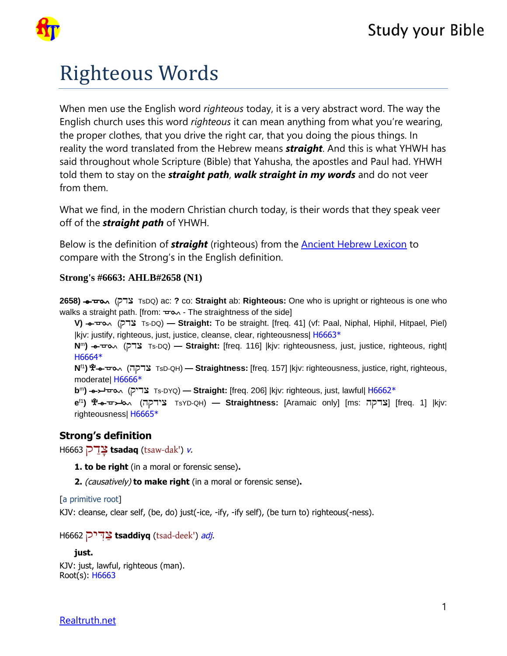

# Righteous Words

When men use the English word *righteous* today, it is a very abstract word. The way the English church uses this word *righteous* it can mean anything from what you're wearing, the proper clothes, that you drive the right car, that you doing the pious things. In reality the word translated from the Hebrew means *straight*. And this is what YHWH has said throughout whole Scripture (Bible) that Yahusha, the apostles and Paul had. YHWH told them to stay on the *straight path*, *walk straight in my words* and do not veer from them.

What we find, in the modern Christian church today, is their words that they speak veer off of the *straight path* of YHWH.

Below is the definition of *straight* (righteous) from the [Ancient Hebrew Lexicon](https://www.ancient-hebrew.org/ahlb/1-strongs.html) to compare with the Strong's in the English definition.

## **Strong's #6663: AHLB#2658 (N1)**

**2658)**  $\rightarrow$  $\rightarrow$   $\rightarrow$  TsDQ) ac: ? co: Straight ab: Righteous: One who is upright or righteous is one who walks a straight path. [from:  $\pm \infty$  - The straightness of the side]

**V)** Qdy (Qdy Ts-DQ) **— Straight:** To be straight. [freq. 41] (vf: Paal, Niphal, Hiphil, Hitpael, Piel) |kjv: justify, righteous, just, justice, cleanse, clear, righteousness| [H6663](#page-0-0)[\\*](tw://[strong]?H6663)

**N**<sup>m</sup>**)** Qdy (Qdy Ts-DQ) **— Straight:** [freq. 116] |kjv: righteousness, just, justice, righteous, right| [H6664](#page-1-0)[\\*](tw://[strong]?H6664)

**N**f1**)** Eqdy (Eqdy TsD-QH) **— Straightness:** [freq. 157] |kjv: righteousness, justice, right, righteous, moderate| [H6666](#page-1-1)[\\*](tw://[strong]?H6666)

**b**<sup>m</sup>**)** Qidy (Qidy Ts-DYQ) **— Straight:** [freq. 206] |kjv: righteous, just, lawful| [H6662](#page-0-1)[\\*](tw://[strong]?H6662)

**e**f1) **\$'+ דעקה (TsYD-QH) — Straightness: [Aramaic only] [ms: <b>בּר**קה [freq. 1] |kjv: righteousness| [H6665](#page-1-2)[\\*](tw://[strong]?H6665)

## <span id="page-0-0"></span>**Strong's definition**

H6663 דקַ ָצ **tsadaq** ([tsaw-dak'](tw://[self]?tid=15)) v.

**1. to be right** (in a moral or forensic sense)**.** 

**2.** (causatively) **to make right** (in a moral or forensic sense)**.** 

#### [a primitive root]

KJV: cleanse, clear self, (be, do) just(-ice, -ify, -ify self), (be turn to) righteous(-ness).

<span id="page-0-1"></span>H6662 יקּדִ ַצ **tsaddiyq** ([tsad-deek'](tw://[self]?tid=15)) adj.

```
just. 
KJV: just, lawful, righteous (man). 
Root(s): H6663
```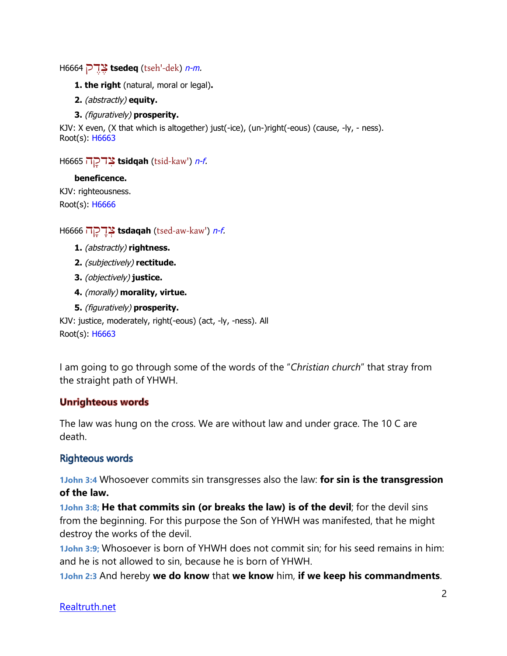```
H6664 דקֶ ֶצ tsedeq (tseh'-dek) n-m.
```
- **1. the right** (natural, moral or legal)**.**
- **2.** (abstractly) **equity.**
- **3.** (figuratively) **prosperity.**

<span id="page-1-2"></span>KJV: X even, (X that which is altogether) just(-ice), (un-)right(-eous) (cause, -ly, - ness). Root(s): [H6663](#page-0-0)

H6665 הָדקִצ **tsidqah** ([tsid-kaw'](tw://[self]?tid=15)) n-f.

## **beneficence.**

KJV: righteousness. Root(s): [H6666](#page-1-1)

<span id="page-1-1"></span>H6666 הָדקָ ְצ **tsdaqah** ([tsed-aw-kaw'](tw://[self]?tid=15)) n-f.

- **1.** (abstractly) **rightness.**
- **2.** (subjectively) **rectitude.**
- **3.** (objectively) **justice.**
- **4.** (morally) **morality, virtue.**
- **5.** (figuratively) **prosperity.**

KJV: justice, moderately, right(-eous) (act, -ly, -ness). All Root(s): [H6663](#page-0-0)

I am going to go through some of the words of the "*Christian church*" that stray from the straight path of YHWH.

## **Unrighteous words**

The law was hung on the cross. We are without law and under grace. The 10 C are death.

## **Righteous words**

**1John 3:4** Whosoever commits sin transgresses also the law: **for sin is the transgression of the law.**

**1John 3:8; He that commits sin (or breaks the law) is of the devil**; for the devil sins from the beginning. For this purpose the Son of YHWH was manifested, that he might destroy the works of the devil.

**1John 3:9;** Whosoever is born of YHWH does not commit sin; for his seed remains in him: and he is not allowed to sin, because he is born of YHWH.

**1John 2:3** And hereby **we do know** that **we know** him, **if we keep his commandments**.

## Realtruth.net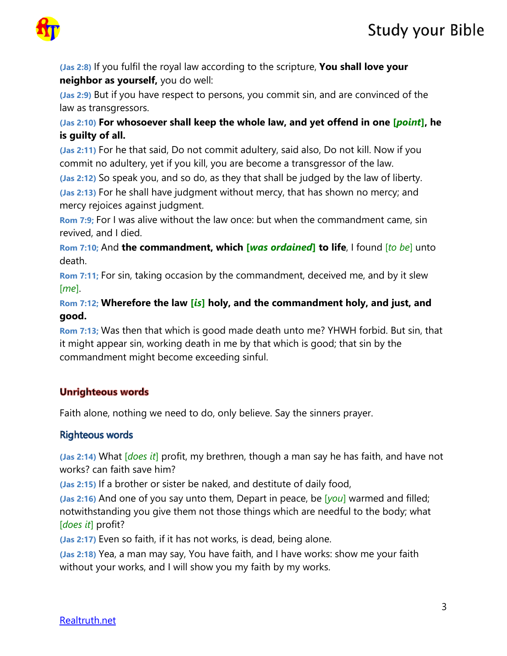



**(Jas 2:8)** If you fulfil the royal law according to the scripture, **You shall love your neighbor as yourself,** you do well:

**(Jas 2:9)** But if you have respect to persons, you commit sin, and are convinced of the law as transgressors.

**(Jas 2:10) For whosoever shall keep the whole law, and yet offend in one [***point***], he is guilty of all.**

**(Jas 2:11)** For he that said, Do not commit adultery, said also, Do not kill. Now if you commit no adultery, yet if you kill, you are become a transgressor of the law.

**(Jas 2:12)** So speak you, and so do, as they that shall be judged by the law of liberty. **(Jas 2:13)** For he shall have judgment without mercy, that has shown no mercy; and mercy rejoices against judgment.

**Rom 7:9;** For I was alive without the law once: but when the commandment came, sin revived, and I died.

**Rom 7:10;** And **the commandment, which [***was ordained***] to life**, I found [*to be*] unto death.

**Rom 7:11;** For sin, taking occasion by the commandment, deceived me, and by it slew [*me*].

**Rom 7:12; Wherefore the law [***is***] holy, and the commandment holy, and just, and good.**

**Rom 7:13;** Was then that which is good made death unto me? YHWH forbid. But sin, that it might appear sin, working death in me by that which is good; that sin by the commandment might become exceeding sinful.

# **Unrighteous words**

Faith alone, nothing we need to do, only believe. Say the sinners prayer.

## **Righteous words**

**(Jas 2:14)** What [*does it*] profit, my brethren, though a man say he has faith, and have not works? can faith save him?

**(Jas 2:15)** If a brother or sister be naked, and destitute of daily food,

**(Jas 2:16)** And one of you say unto them, Depart in peace, be [*you*] warmed and filled; notwithstanding you give them not those things which are needful to the body; what [*does it*] profit?

**(Jas 2:17)** Even so faith, if it has not works, is dead, being alone.

**(Jas 2:18)** Yea, a man may say, You have faith, and I have works: show me your faith without your works, and I will show you my faith by my works.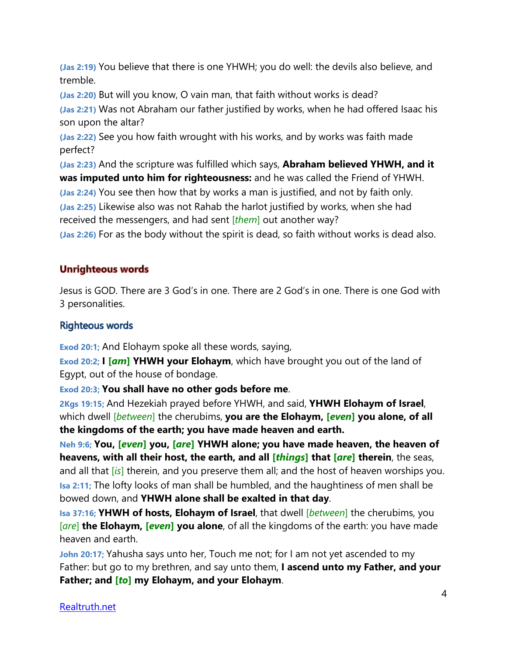**(Jas 2:19)** You believe that there is one YHWH; you do well: the devils also believe, and tremble.

**(Jas 2:20)** But will you know, O vain man, that faith without works is dead?

**(Jas 2:21)** Was not Abraham our father justified by works, when he had offered Isaac his son upon the altar?

**(Jas 2:22)** See you how faith wrought with his works, and by works was faith made perfect?

**(Jas 2:23)** And the scripture was fulfilled which says, **Abraham believed YHWH, and it was imputed unto him for righteousness:** and he was called the Friend of YHWH. **(Jas 2:24)** You see then how that by works a man is justified, and not by faith only. **(Jas 2:25)** Likewise also was not Rahab the harlot justified by works, when she had received the messengers, and had sent [*them*] out another way?

**(Jas 2:26)** For as the body without the spirit is dead, so faith without works is dead also.

# **Unrighteous words**

Jesus is GOD. There are 3 God's in one. There are 2 God's in one. There is one God with 3 personalities.

# Righteous words

**Exod 20:1;** And Elohaym spoke all these words, saying,

**Exod 20:2; I [***am***] YHWH your Elohaym**, which have brought you out of the land of Egypt, out of the house of bondage.

**Exod 20:3; You shall have no other gods before me**.

**2Kgs 19:15;** And Hezekiah prayed before YHWH, and said, **YHWH Elohaym of Israel**, which dwell [*between*] the cherubims, **you are the Elohaym, [***even***] you alone, of all the kingdoms of the earth; you have made heaven and earth.**

**Neh 9:6; You, [***even***] you, [***are***] YHWH alone; you have made heaven, the heaven of heavens, with all their host, the earth, and all [***things***] that [***are***] therein**, the seas, and all that [*is*] therein, and you preserve them all; and the host of heaven worships you. **Isa 2:11;** The lofty looks of man shall be humbled, and the haughtiness of men shall be bowed down, and **YHWH alone shall be exalted in that day**.

**Isa 37:16; YHWH of hosts, Elohaym of Israel**, that dwell [*between*] the cherubims, you [*are*] **the Elohaym, [***even***] you alone**, of all the kingdoms of the earth: you have made heaven and earth.

**John 20:17;** Yahusha says unto her, Touch me not; for I am not yet ascended to my Father: but go to my brethren, and say unto them, **I ascend unto my Father, and your Father; and [***to***] my Elohaym, and your Elohaym**.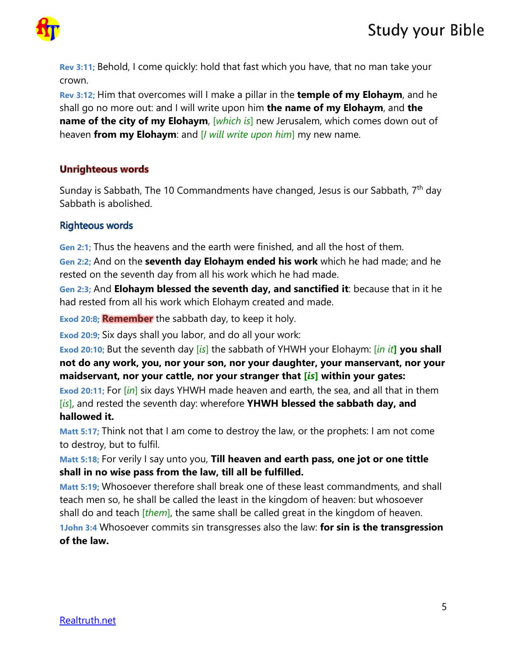

**Rev 3:11;** Behold, I come quickly: hold that fast which you have, that no man take your crown.

**Rev 3:12;** Him that overcomes will I make a pillar in the **temple of my Elohaym**, and he shall go no more out: and I will write upon him **the name of my Elohaym**, and **the name of the city of my Elohaym**, *[which is]* new Jerusalem, which comes down out of heaven **from my Elohaym**: and [*I will write upon him*] my new name.

# **Unrighteous words**

Sunday is Sabbath, The 10 Commandments have changed, Jesus is our Sabbath, 7<sup>th</sup> day Sabbath is abolished.

## **Righteous words**

**Gen 2:1;** Thus the heavens and the earth were finished, and all the host of them.

**Gen 2:2;** And on the **seventh day Elohaym ended his work** which he had made; and he rested on the seventh day from all his work which he had made.

**Gen 2:3;** And **Elohaym blessed the seventh day, and sanctified it**: because that in it he had rested from all his work which Elohaym created and made.

**Exod 20:8; Remember** the sabbath day, to keep it holy.

**Exod 20:9;** Six days shall you labor, and do all your work:

**Exod 20:10;** But the seventh day [*is*] the sabbath of YHWH your Elohaym: [*in it***] you shall not do any work, you, nor your son, nor your daughter, your manservant, nor your maidservant, nor your cattle, nor your stranger that [***is***] within your gates:**

**Exod 20:11;** For [*in*] six days YHWH made heaven and earth, the sea, and all that in them [*is*], and rested the seventh day: wherefore **YHWH blessed the sabbath day, and hallowed it.**

**Matt 5:17;** Think not that I am come to destroy the law, or the prophets: I am not come to destroy, but to fulfil.

**Matt 5:18;** For verily I say unto you, **Till heaven and earth pass, one jot or one tittle shall in no wise pass from the law, till all be fulfilled.**

**Matt 5:19;** Whosoever therefore shall break one of these least commandments, and shall teach men so, he shall be called the least in the kingdom of heaven: but whosoever shall do and teach [*them*], the same shall be called great in the kingdom of heaven.

**1John 3:4** Whosoever commits sin transgresses also the law: **for sin is the transgression of the law.**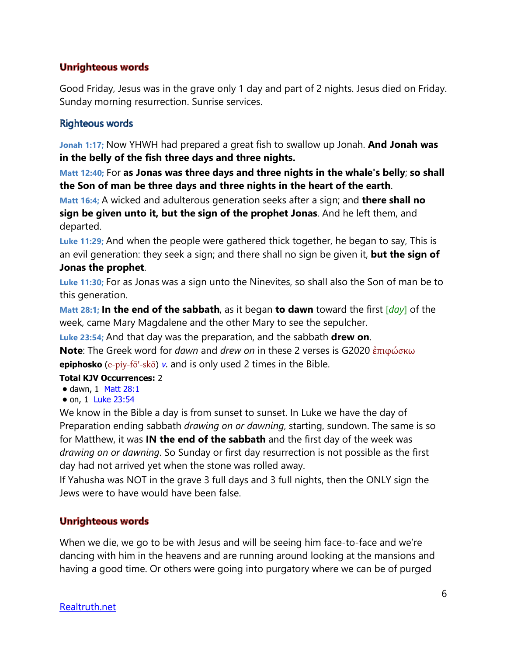# **Unrighteous words**

Good Friday, Jesus was in the grave only 1 day and part of 2 nights. Jesus died on Friday. Sunday morning resurrection. Sunrise services.

## **Righteous words**

**Jonah 1:17;** Now YHWH had prepared a great fish to swallow up Jonah. **And Jonah was in the belly of the fish three days and three nights.**

**Matt 12:40;** For **as Jonas was three days and three nights in the whale's belly**; **so shall the Son of man be three days and three nights in the heart of the earth**.

**Matt 16:4;** A wicked and adulterous generation seeks after a sign; and **there shall no sign be given unto it, but the sign of the prophet Jonas**. And he left them, and departed.

**Luke 11:29;** And when the people were gathered thick together, he began to say, This is an evil generation: they seek a sign; and there shall no sign be given it, **but the sign of Jonas the prophet**.

**Luke 11:30;** For as Jonas was a sign unto the Ninevites, so shall also the Son of man be to this generation.

**Matt 28:1; In the end of the sabbath**, as it began **to dawn** toward the first [*day*] of the week, came Mary Magdalene and the other Mary to see the sepulcher.

**Luke 23:54;** And that day was the preparation, and the sabbath **drew on**.

**Note**: The Greek word for *dawn* and *drew on* in these 2 verses is G2020 ἐπιφώσκω **epiphosko** ([e-piy-fō'-skō](tw://[self]?tid=14)) [v](tw://[self]?tid=1000000#V-). and is only used 2 times in the Bible.

## **Total KJV Occurrences:** 2

- dawn, 1 Matt 28:1
- on, 1 Luke 23:54

We know in the Bible a day is from sunset to sunset. In Luke we have the day of Preparation ending sabbath *drawing on or dawning*, starting, sundown. The same is so for Matthew, it was **IN the end of the sabbath** and the first day of the week was *drawing on or dawning*. So Sunday or first day resurrection is not possible as the first day had not arrived yet when the stone was rolled away.

If Yahusha was NOT in the grave 3 full days and 3 full nights, then the ONLY sign the Jews were to have would have been false.

## **Unrighteous words**

When we die, we go to be with Jesus and will be seeing him face-to-face and we're dancing with him in the heavens and are running around looking at the mansions and having a good time. Or others were going into purgatory where we can be of purged